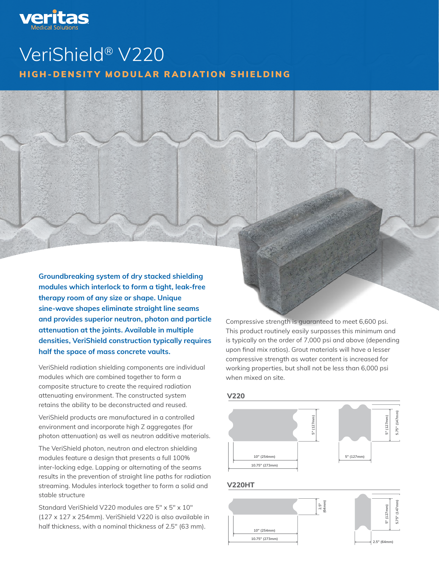

# VeriShield® V220 HIGH-DENSITY MODULAR RADIATION SHIELDING

Groundbreaking system of dry stacked shielding modules which interlock to form a tight, leak-free therapy room of any size or shape. Unique sine-wave shapes eliminate straight line seams and provides superior neutron, photon and particle attenuation at the joints. Available in multiple densities, VeriShield construction typically requires half the space of mass concrete vaults.

VeriShield radiation shielding components are individual modules which are combined together to form a composite structure to create the required radiation attenuating environment. The constructed system retains the ability to be deconstructed and reused.

VeriShield products are manufactured in a controlled environment and incorporate high Z aggregates (for photon attenuation) as well as neutron additive materials.

The VeriShield photon, neutron and electron shielding modules feature a design that presents a full 100% inter-locking edge. Lapping or alternating of the seams results in the prevention of straight line paths for radiation streaming. Modules interlock together to form a solid and stable structure

Standard VeriShield V220 modules are 5″ x 5″ x 10″ (127 x 127 x 254mm). VeriShield V220 is also available in half thickness, with a nominal thickness of 2.5″ (63 mm).

Compressive strength is guaranteed to meet 6,600 psi. This product routinely easily surpasses this minimum and is typically on the order of 7,000 psi and above (depending upon final mix ratios). Grout materials will have a lesser compressive strength as water content is increased for working properties, but shall not be less than 6,000 psi when mixed on site.

#### **V220**



#### **V220HT**